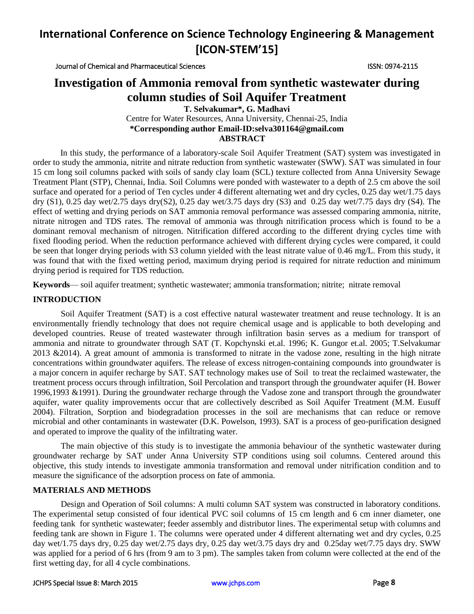Journal of Chemical and Pharmaceutical Sciences ISSN: 0974-2115

# **Investigation of Ammonia removal from synthetic wastewater during column studies of Soil Aquifer Treatment**

**T. Selvakumar\*, G. Madhavi** Centre for Water Resources, Anna University, Chennai-25, India **\*Corresponding author Email-ID:selva301164@gmail.com ABSTRACT**

In this study, the performance of a laboratory-scale Soil Aquifer Treatment (SAT) system was investigated in order to study the ammonia, nitrite and nitrate reduction from synthetic wastewater (SWW). SAT was simulated in four 15 cm long soil columns packed with soils of sandy clay loam (SCL) texture collected from Anna University Sewage Treatment Plant (STP), Chennai, India. Soil Columns were ponded with wastewater to a depth of 2.5 cm above the soil surface and operated for a period of Ten cycles under 4 different alternating wet and dry cycles, 0.25 day wet/1.75 days dry (S1), 0.25 day wet/2.75 days dry(S2), 0.25 day wet/3.75 days dry (S3) and 0.25 day wet/7.75 days dry (S4). The effect of wetting and drying periods on SAT ammonia removal performance was assessed comparing ammonia, nitrite, nitrate nitrogen and TDS rates. The removal of ammonia was through nitrification process which is found to be a dominant removal mechanism of nitrogen. Nitrification differed according to the different drying cycles time with fixed flooding period. When the reduction performance achieved with different drying cycles were compared, it could be seen that longer drying periods with S3 column yielded with the least nitrate value of 0.46 mg/L. From this study, it was found that with the fixed wetting period, maximum drying period is required for nitrate reduction and minimum drying period is required for TDS reduction.

**Keywords**— soil aquifer treatment; synthetic wastewater; ammonia transformation; nitrite; nitrate removal

### **INTRODUCTION**

Soil Aquifer Treatment (SAT) is a cost effective natural wastewater treatment and reuse technology. It is an environmentally friendly technology that does not require chemical usage and is applicable to both developing and developed countries. Reuse of treated wastewater through infiltration basin serves as a medium for transport of ammonia and nitrate to groundwater through SAT (T. Kopchynski et.al. 1996; K. Gungor et.al. 2005; T.Selvakumar 2013 &2014). A great amount of ammonia is transformed to nitrate in the vadose zone, resulting in the high nitrate concentrations within groundwater aquifers. The release of excess nitrogen-containing compounds into groundwater is a major concern in aquifer recharge by SAT. SAT technology makes use of Soil to treat the reclaimed wastewater, the treatment process occurs through infiltration, Soil Percolation and transport through the groundwater aquifer (H. Bower 1996,1993 &1991). During the groundwater recharge through the Vadose zone and transport through the groundwater aquifer, water quality improvements occur that are collectively described as Soil Aquifer Treatment (M.M. Eusuff 2004). Filtration, Sorption and biodegradation processes in the soil are mechanisms that can reduce or remove microbial and other contaminants in wastewater (D.K. Powelson, 1993). SAT is a process of geo-purification designed and operated to improve the quality of the infiltrating water.

The main objective of this study is to investigate the ammonia behaviour of the synthetic wastewater during groundwater recharge by SAT under Anna University STP conditions using soil columns. Centered around this objective, this study intends to investigate ammonia transformation and removal under nitrification condition and to measure the significance of the adsorption process on fate of ammonia.

## **MATERIALS AND METHODS**

Design and Operation of Soil columns: A multi column SAT system was constructed in laboratory conditions. The experimental setup consisted of four identical PVC soil columns of 15 cm length and 6 cm inner diameter, one feeding tank for synthetic wastewater; feeder assembly and distributor lines. The experimental setup with columns and feeding tank are shown in Figure 1. The columns were operated under 4 different alternating wet and dry cycles, 0.25 day wet/1.75 days dry, 0.25 day wet/2.75 days dry, 0.25 day wet/3.75 days dry and 0.25day wet/7.75 days dry. SWW was applied for a period of 6 hrs (from 9 am to 3 pm). The samples taken from column were collected at the end of the first wetting day, for all 4 cycle combinations.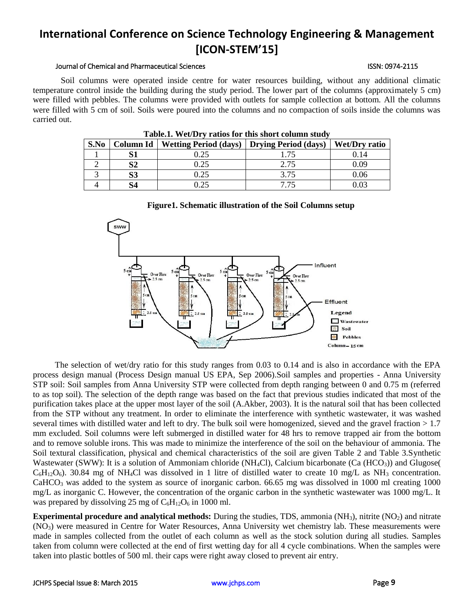#### Journal of Chemical and Pharmaceutical Sciences ISSN: 0974-2115

Soil columns were operated inside centre for water resources building, without any additional climatic temperature control inside the building during the study period. The lower part of the columns (approximately 5 cm) were filled with pebbles. The columns were provided with outlets for sample collection at bottom. All the columns were filled with 5 cm of soil. Soils were poured into the columns and no compaction of soils inside the columns was carried out.

| Tabic.I. WebDIV Tatios for this short column study |           |                                              |      |                      |  |  |
|----------------------------------------------------|-----------|----------------------------------------------|------|----------------------|--|--|
| S.No                                               | Column Id | Wetting Period (days)   Drying Period (days) |      | <b>Wet/Dry ratio</b> |  |  |
|                                                    |           | 0.25                                         | -75  |                      |  |  |
|                                                    | S2        | 0.25                                         | 2.75 | 0.09                 |  |  |
|                                                    | S3        | 0.25                                         | 3.75 | 0.06                 |  |  |
|                                                    | S4        | 0.25                                         | 7.75 |                      |  |  |

**Table.1. Wet/Dry ratios for this short column study**





The selection of wet/dry ratio for this study ranges from 0.03 to 0.14 and is also in accordance with the EPA process design manual (Process Design manual US EPA, Sep 2006).Soil samples and properties - Anna University STP soil: Soil samples from Anna University STP were collected from depth ranging between 0 and 0.75 m (referred to as top soil). The selection of the depth range was based on the fact that previous studies indicated that most of the purification takes place at the upper most layer of the soil (A.Akber, 2003). It is the natural soil that has been collected from the STP without any treatment. In order to eliminate the interference with synthetic wastewater, it was washed several times with distilled water and left to dry. The bulk soil were homogenized, sieved and the gravel fraction  $>1.7$ mm excluded. Soil columns were left submerged in distilled water for 48 hrs to remove trapped air from the bottom and to remove soluble irons. This was made to minimize the interference of the soil on the behaviour of ammonia. The Soil textural classification, physical and chemical characteristics of the soil are given Table 2 and Table 3.Synthetic Wastewater (SWW): It is a solution of Ammoniam chloride (NH<sub>4</sub>Cl), Calcium bicarbonate (Ca (HCO<sub>3</sub>)) and Glugose(  $C_6H_{12}O_6$ ). 30.84 mg of NH<sub>4</sub>Cl was dissolved in 1 litre of distilled water to create 10 mg/L as NH<sub>3</sub> concentration.  $CaHCO<sub>3</sub>$  was added to the system as source of inorganic carbon. 66.65 mg was dissolved in 1000 ml creating 1000 mg/L as inorganic C. However, the concentration of the organic carbon in the synthetic wastewater was 1000 mg/L. It was prepared by dissolving 25 mg of  $C_6H_{12}O_6$  in 1000 ml.

**Experimental procedure and analytical methods:** During the studies, TDS, ammonia (NH<sub>3</sub>), nitrite (NO<sub>2</sub>) and nitrate (NO3) were measured in Centre for Water Resources, Anna University wet chemistry lab. These measurements were made in samples collected from the outlet of each column as well as the stock solution during all studies. Samples taken from column were collected at the end of first wetting day for all 4 cycle combinations. When the samples were taken into plastic bottles of 500 ml. their caps were right away closed to prevent air entry.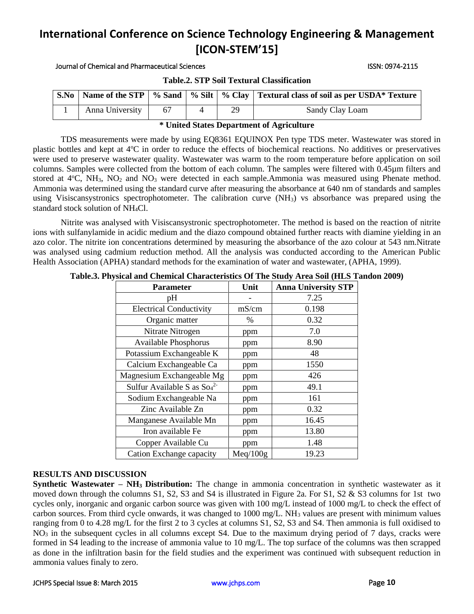Journal of Chemical and Pharmaceutical Sciences ISSN: 0974-2115

**S.No Name of the STP % Sand % Silt % Clay Textural class of soil as per USDA\* Texture** 1 | Anna University | 67 | 4 | 29 | Sandy Clay Loam

## **Table.2. STP Soil Textural Classification**

### **\* United States Department of Agriculture**

TDS measurements were made by using EQ8361 EQUINOX Pen type TDS meter. Wastewater was stored in plastic bottles and kept at  $4^{\circ}C$  in order to reduce the effects of biochemical reactions. No additives or preservatives were used to preserve wastewater quality. Wastewater was warm to the room temperature before application on soil columns. Samples were collected from the bottom of each column. The samples were filtered with 0.45µm filters and stored at 4°C, NH<sub>3</sub>, NO<sub>2</sub> and NO<sub>3</sub> were detected in each sample.Ammonia was measured using Phenate method. Ammonia was determined using the standard curve after measuring the absorbance at 640 nm of standards and samples using Visiscansystronics spectrophotometer. The calibration curve (NH<sub>3</sub>) vs absorbance was prepared using the standard stock solution of NH4Cl.

Nitrite was analysed with Visiscansystronic spectrophotometer. The method is based on the reaction of nitrite ions with sulfanylamide in acidic medium and the diazo compound obtained further reacts with diamine yielding in an azo color. The nitrite ion concentrations determined by measuring the absorbance of the azo colour at 543 nm.Nitrate was analysed using cadmium reduction method. All the analysis was conducted according to the American Public Health Association (APHA) standard methods for the examination of water and wastewater, (APHA, 1999).

| $\frac{1}{2}$                         |          |                            |  |  |  |
|---------------------------------------|----------|----------------------------|--|--|--|
| <b>Parameter</b>                      | Unit     | <b>Anna University STP</b> |  |  |  |
| pН                                    |          | 7.25                       |  |  |  |
| <b>Electrical Conductivity</b>        | mS/cm    | 0.198                      |  |  |  |
| Organic matter                        | $\%$     | 0.32                       |  |  |  |
| Nitrate Nitrogen                      | ppm      | 7.0                        |  |  |  |
| <b>Available Phosphorus</b>           | ppm      | 8.90                       |  |  |  |
| Potassium Exchangeable K              | ppm      | 48                         |  |  |  |
| Calcium Exchangeable Ca               | ppm      | 1550                       |  |  |  |
| Magnesium Exchangeable Mg             | ppm      | 426                        |  |  |  |
| Sulfur Available S as $\text{So}_4^2$ | ppm      | 49.1                       |  |  |  |
| Sodium Exchangeable Na                | ppm      | 161                        |  |  |  |
| Zinc Available Zn                     | ppm      | 0.32                       |  |  |  |
| Manganese Available Mn                | ppm      | 16.45                      |  |  |  |
| Iron available Fe                     | ppm      | 13.80                      |  |  |  |
| Copper Available Cu                   | ppm      | 1.48                       |  |  |  |
| Cation Exchange capacity              | Meq/100g | 19.23                      |  |  |  |

**Table.3. Physical and Chemical Characteristics Of The Study Area Soil (HLS Tandon 2009)**

# **RESULTS AND DISCUSSION**

**Synthetic Wastewater – NH3 Distribution:** The change in ammonia concentration in synthetic wastewater as it moved down through the columns S1, S2, S3 and S4 is illustrated in Figure 2a. For S1, S2 & S3 columns for 1st two cycles only, inorganic and organic carbon source was given with 100 mg/L instead of 1000 mg/L to check the effect of carbon sources. From third cycle onwards, it was changed to  $1000 \text{ mg/L}$ . NH<sub>3</sub> values are present with minimum values ranging from 0 to 4.28 mg/L for the first 2 to 3 cycles at columns S1, S2, S3 and S4. Then ammonia is full oxidised to NO<sup>3</sup> in the subsequent cycles in all columns except S4. Due to the maximum drying period of 7 days, cracks were formed in S4 leading to the increase of ammonia value to 10 mg/L. The top surface of the columns was then scrapped as done in the infiltration basin for the field studies and the experiment was continued with subsequent reduction in ammonia values finaly to zero.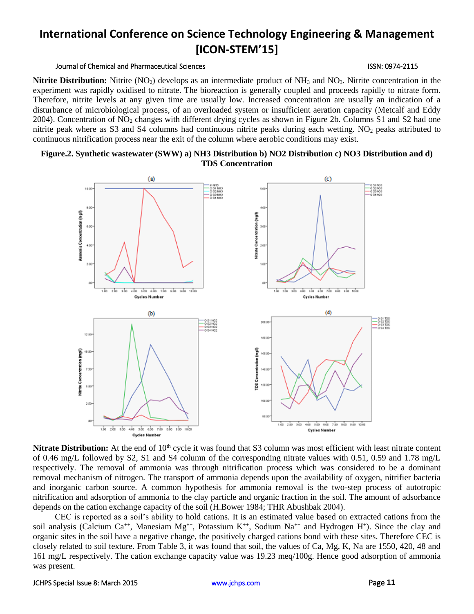#### Journal of Chemical and Pharmaceutical Sciences ISSN: 0974-2115

**Nitrite Distribution:** Nitrite (NO<sub>2</sub>) develops as an intermediate product of NH<sub>3</sub> and NO<sub>3</sub>. Nitrite concentration in the experiment was rapidly oxidised to nitrate. The bioreaction is generally coupled and proceeds rapidly to nitrate form. Therefore, nitrite levels at any given time are usually low. Increased concentration are usually an indication of a disturbance of microbiological process, of an overloaded system or insufficient aeration capacity (Metcalf and Eddy 2004). Concentration of NO<sub>2</sub> changes with different drying cycles as shown in Figure 2b. Columns S1 and S2 had one nitrite peak where as S3 and S4 columns had continuous nitrite peaks during each wetting.  $NO<sub>2</sub>$  peaks attributed to continuous nitrification process near the exit of the column where aerobic conditions may exist.

# **Figure.2. Synthetic wastewater (SWW) a) NH3 Distribution b) NO2 Distribution c) NO3 Distribution and d) TDS Concentration**



**Nitrate Distribution:** At the end of 10<sup>th</sup> cycle it was found that S3 column was most efficient with least nitrate content of 0.46 mg/L followed by S2, S1 and S4 column of the corresponding nitrate values with 0.51, 0.59 and 1.78 mg/L respectively. The removal of ammonia was through nitrification process which was considered to be a dominant removal mechanism of nitrogen. The transport of ammonia depends upon the availability of oxygen, nitrifier bacteria and inorganic carbon source. A common hypothesis for ammonia removal is the two-step process of autotropic nitrification and adsorption of ammonia to the clay particle and organic fraction in the soil. The amount of adsorbance depends on the cation exchange capacity of the soil (H.Bower 1984; THR Abushbak 2004).

CEC is reported as a soil's ability to hold cations. It is an estimated value based on extracted cations from the soil analysis (Calcium Ca<sup>++</sup>, Manesiam Mg<sup>++</sup>, Potassium K<sup>++</sup>, Sodium Na<sup>++</sup> and Hydrogen H<sup>+</sup>). Since the clay and organic sites in the soil have a negative change, the positively charged cations bond with these sites. Therefore CEC is closely related to soil texture. From Table 3, it was found that soil, the values of Ca, Mg, K, Na are 1550, 420, 48 and 161 mg/L respectively. The cation exchange capacity value was 19.23 meq/100g. Hence good adsorption of ammonia was present.

#### JCHPS Special Issue 8: March 2015 [www.jchps.com](http://www.jchps.com/) Page **11**